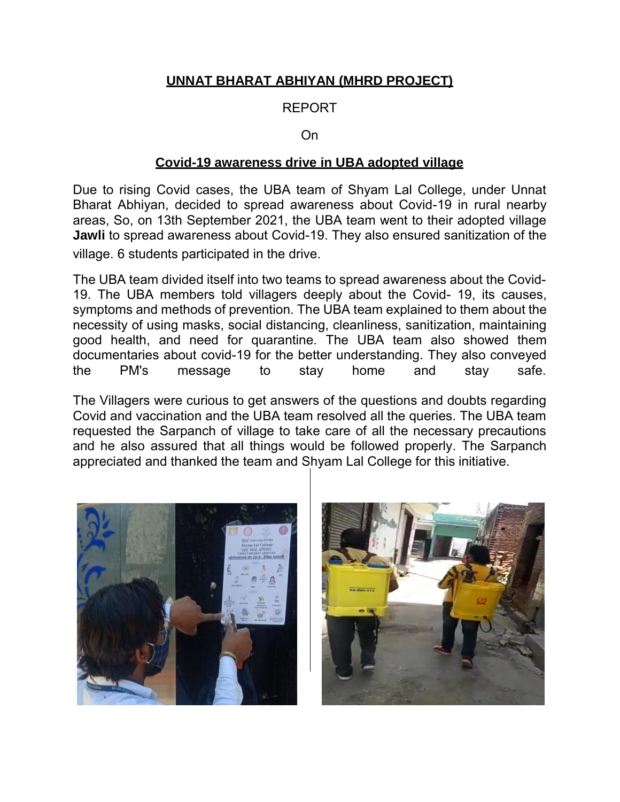## **UNNAT BHARAT ABHIYAN (MHRD PROJECT)**

## REPORT

## On

## **Covid-19 awareness drive in UBA adopted village**

Due to rising Covid cases, the UBA team of Shyam Lal College, under Unnat Bharat Abhiyan, decided to spread awareness about Covid-19 in rural nearby areas, So, on 13th September 2021, the UBA team went to their adopted village **Jawli** to spread awareness about Covid-19. They also ensured sanitization of the village. 6 students participated in the drive.

The UBA team divided itself into two teams to spread awareness about the Covid-19. The UBA members told villagers deeply about the Covid- 19, its causes, symptoms and methods of prevention. The UBA team explained to them about the necessity of using masks, social distancing, cleanliness, sanitization, maintaining good health, and need for quarantine. The UBA team also showed them documentaries about covid-19 for the better understanding. They also conveyed the PM's message to stay home and stay safe.

The Villagers were curious to get answers of the questions and doubts regarding Covid and vaccination and the UBA team resolved all the queries. The UBA team requested the Sarpanch of village to take care of all the necessary precautions and he also assured that all things would be followed properly. The Sarpanch appreciated and thanked the team and Shyam Lal College for this initiative.